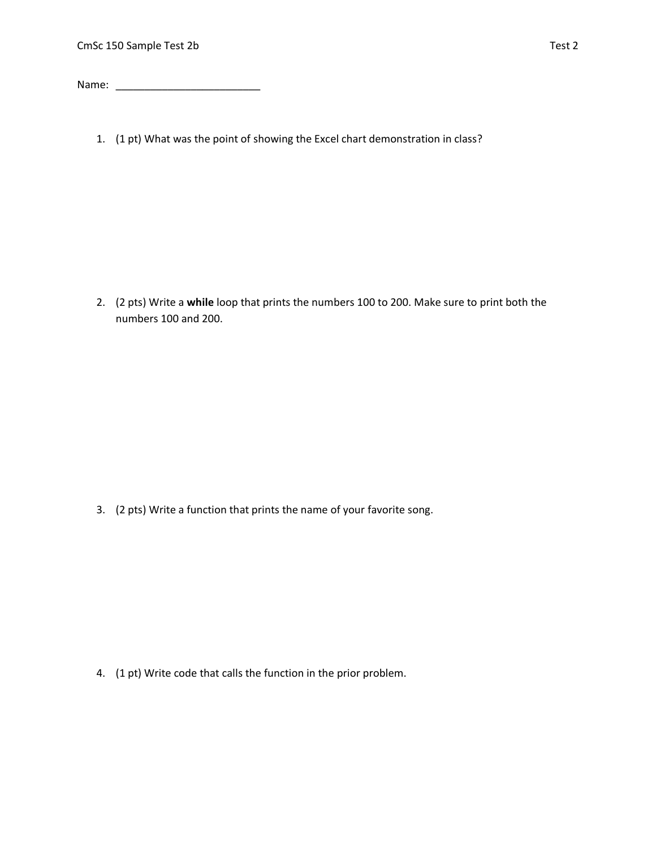Name: \_\_\_\_\_\_\_\_\_\_\_\_\_\_\_\_\_\_\_\_\_\_\_\_\_

1. (1 pt) What was the point of showing the Excel chart demonstration in class?

2. (2 pts) Write a **while** loop that prints the numbers 100 to 200. Make sure to print both the numbers 100 and 200.

3. (2 pts) Write a function that prints the name of your favorite song.

4. (1 pt) Write code that calls the function in the prior problem.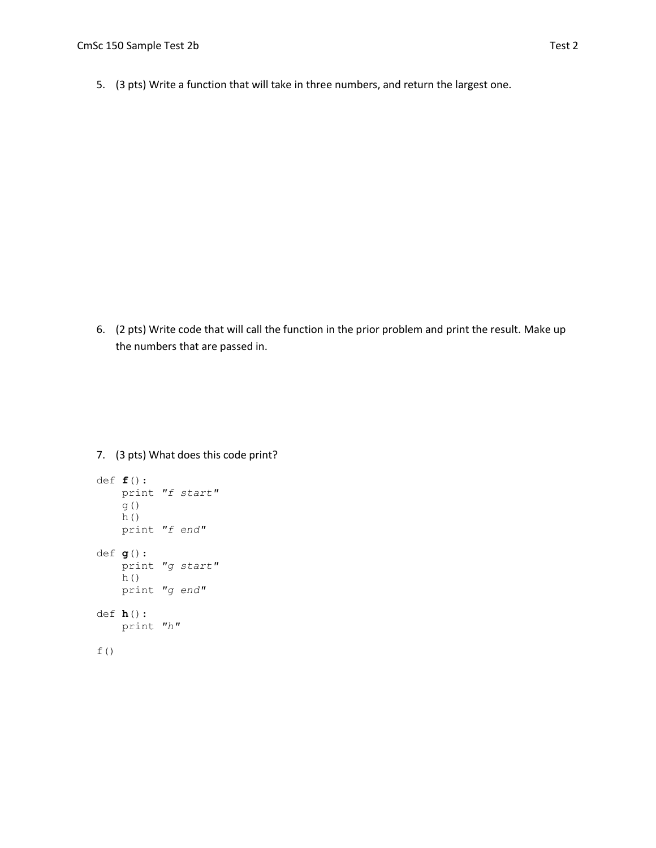5. (3 pts) Write a function that will take in three numbers, and return the largest one.

6. (2 pts) Write code that will call the function in the prior problem and print the result. Make up the numbers that are passed in.

7. (3 pts) What does this code print?

```
def f():
    print "f start"
    g()
     h()
     print "f end"
def g():
     print "g start"
     h()
     print "g end"
def h():
     print "h"
f()
```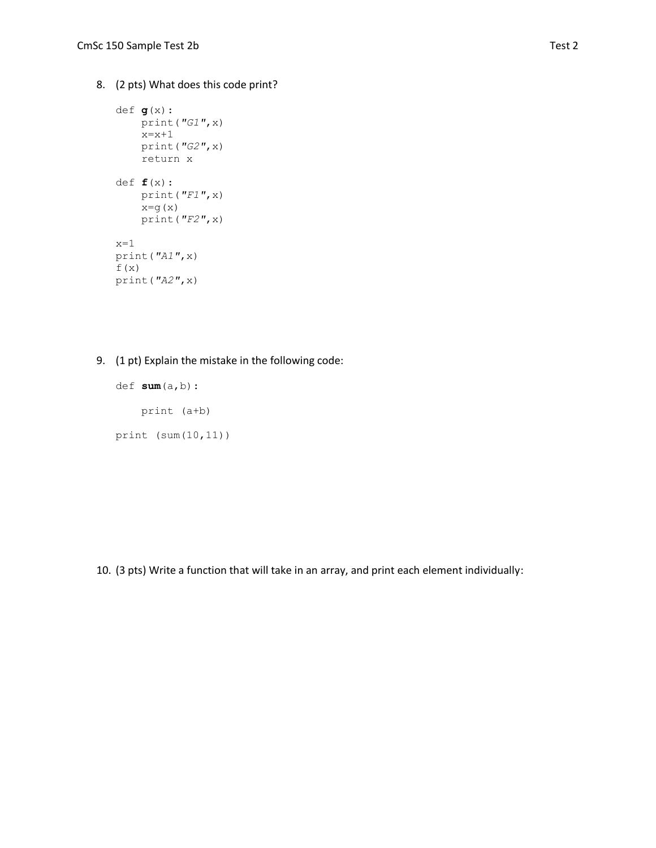8. (2 pts) What does this code print?

```
def g(x):
    print("G1",x)
   x=x+1 print("G2",x)
     return x
def f(x):
    print("F1",x)
   x=g(x) print("F2",x)
x=1print("A1",x)
f(x)
print("A2",x)
```
9. (1 pt) Explain the mistake in the following code:

def **sum**(a,b): print (a+b) print (sum(10,11))

10. (3 pts) Write a function that will take in an array, and print each element individually: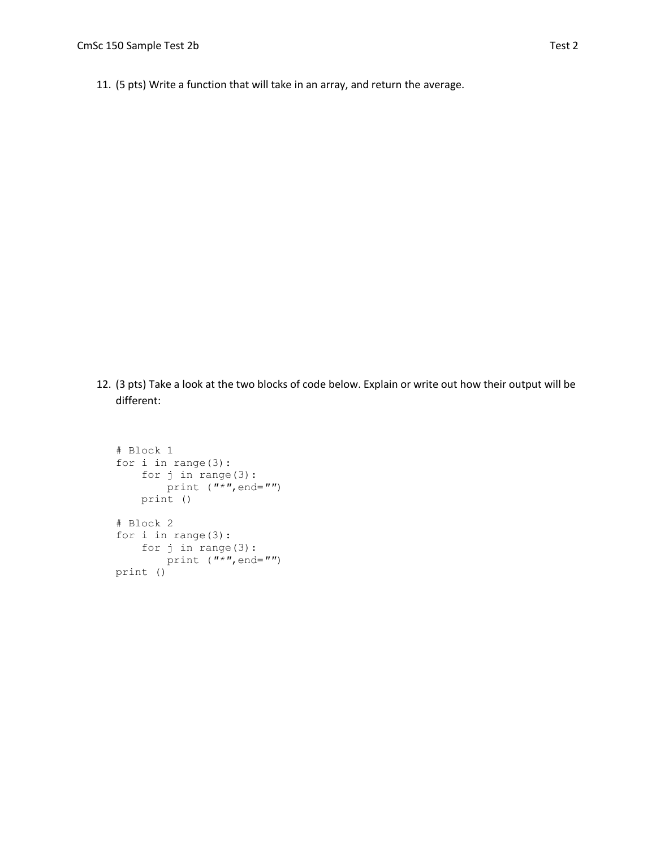11. (5 pts) Write a function that will take in an array, and return the average.

12. (3 pts) Take a look at the two blocks of code below. Explain or write out how their output will be different:

```
# Block 1
for i in range(3):
     for j in range(3):
        print ("*",end="")
     print ()
# Block 2
for i in range(3):
     for j in range(3):
        print ("*",end="")
print ()
```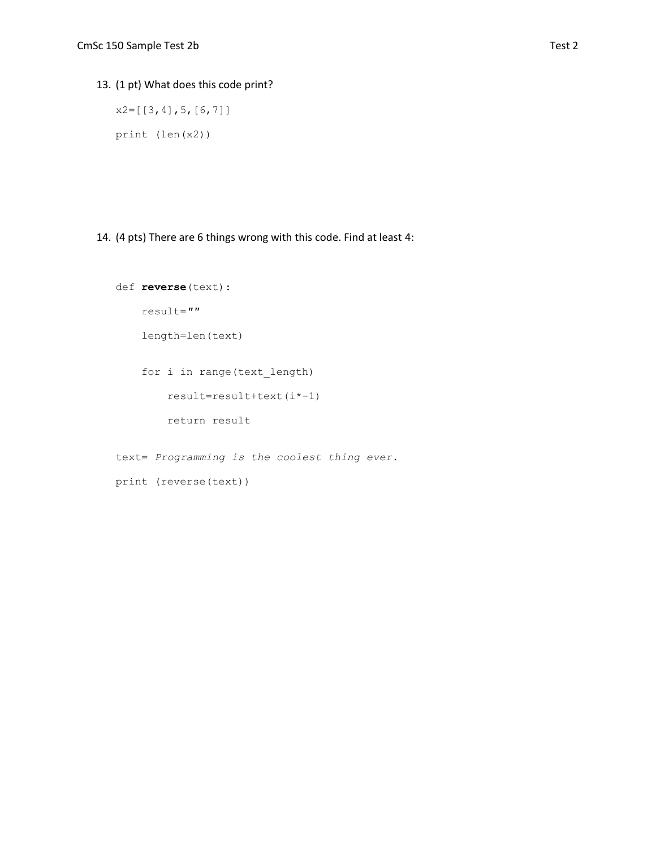## 13. (1 pt) What does this code print?

x2=[[3,4],5,[6,7]] print (len(x2))

## 14. (4 pts) There are 6 things wrong with this code. Find at least 4:

```
def reverse(text):
     result=""
     length=len(text)
     for i in range(text_length)
         result=result+text(i*-1)
         return result
text= Programming is the coolest thing ever.
```

```
print (reverse(text))
```